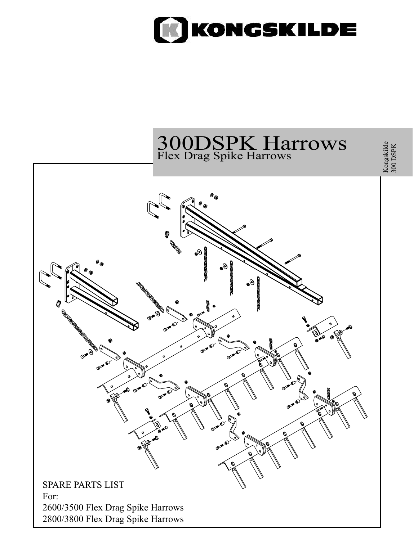

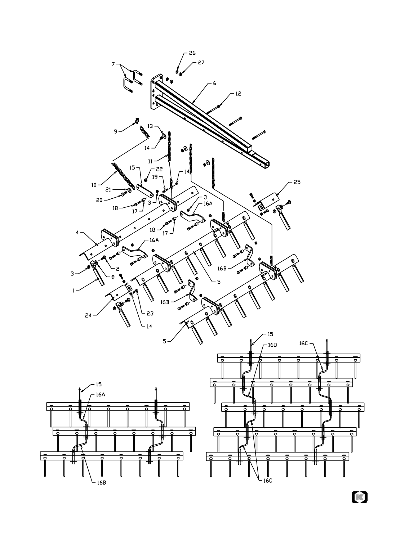